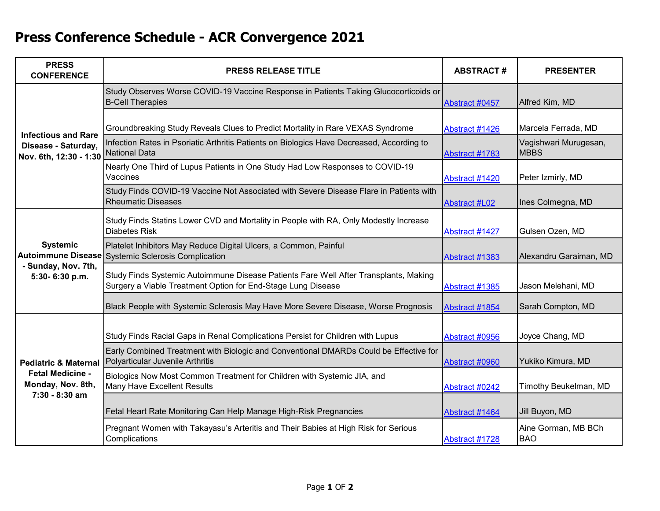## **Press Conference Schedule - ACR Convergence 2021**

| <b>PRESS</b><br><b>CONFERENCE</b>                                                                 | <b>PRESS RELEASE TITLE</b>                                                                                                                           | <b>ABSTRACT#</b>     | <b>PRESENTER</b>                      |
|---------------------------------------------------------------------------------------------------|------------------------------------------------------------------------------------------------------------------------------------------------------|----------------------|---------------------------------------|
| <b>Infectious and Rare</b><br>Disease - Saturday,<br>Nov. 6th, 12:30 - 1:30 National Data         | Study Observes Worse COVID-19 Vaccine Response in Patients Taking Glucocorticoids or<br><b>B-Cell Therapies</b>                                      | Abstract #0457       | Alfred Kim, MD                        |
|                                                                                                   | Groundbreaking Study Reveals Clues to Predict Mortality in Rare VEXAS Syndrome                                                                       | Abstract #1426       | Marcela Ferrada, MD                   |
|                                                                                                   | Infection Rates in Psoriatic Arthritis Patients on Biologics Have Decreased, According to                                                            | Abstract #1783       | Vagishwari Murugesan,<br><b>IMBBS</b> |
|                                                                                                   | Nearly One Third of Lupus Patients in One Study Had Low Responses to COVID-19<br>Vaccines                                                            | Abstract #1420       | Peter Izmirly, MD                     |
|                                                                                                   | Study Finds COVID-19 Vaccine Not Associated with Severe Disease Flare in Patients with<br><b>Rheumatic Diseases</b>                                  | <b>Abstract #L02</b> | Ines Colmegna, MD                     |
| <b>Systemic</b><br><b>Autoimmune Disease</b><br>- Sunday, Nov. 7th,<br>5:30-6:30 p.m.             | Study Finds Statins Lower CVD and Mortality in People with RA, Only Modestly Increase<br><b>Diabetes Risk</b>                                        | Abstract #1427       | Gulsen Ozen, MD                       |
|                                                                                                   | Platelet Inhibitors May Reduce Digital Ulcers, a Common, Painful<br><b>Systemic Sclerosis Complication</b>                                           | Abstract #1383       | Alexandru Garaiman, MD                |
|                                                                                                   | Study Finds Systemic Autoimmune Disease Patients Fare Well After Transplants, Making<br>Surgery a Viable Treatment Option for End-Stage Lung Disease | Abstract #1385       | Jason Melehani, MD                    |
|                                                                                                   | Black People with Systemic Sclerosis May Have More Severe Disease, Worse Prognosis                                                                   | Abstract #1854       | Sarah Compton, MD                     |
| <b>Pediatric &amp; Maternal</b><br><b>Fetal Medicine -</b><br>Monday, Nov. 8th,<br>7:30 - 8:30 am | Study Finds Racial Gaps in Renal Complications Persist for Children with Lupus                                                                       | Abstract #0956       | Joyce Chang, MD                       |
|                                                                                                   | Early Combined Treatment with Biologic and Conventional DMARDs Could be Effective for<br>Polyarticular Juvenile Arthritis                            | Abstract #0960       | Yukiko Kimura, MD                     |
|                                                                                                   | Biologics Now Most Common Treatment for Children with Systemic JIA, and<br>Many Have Excellent Results                                               | Abstract #0242       | Timothy Beukelman, MD                 |
|                                                                                                   | Fetal Heart Rate Monitoring Can Help Manage High-Risk Pregnancies                                                                                    | Abstract #1464       | Jill Buyon, MD                        |
|                                                                                                   | Pregnant Women with Takayasu's Arteritis and Their Babies at High Risk for Serious<br>Complications                                                  | Abstract #1728       | Aine Gorman, MB BCh<br><b>BAO</b>     |